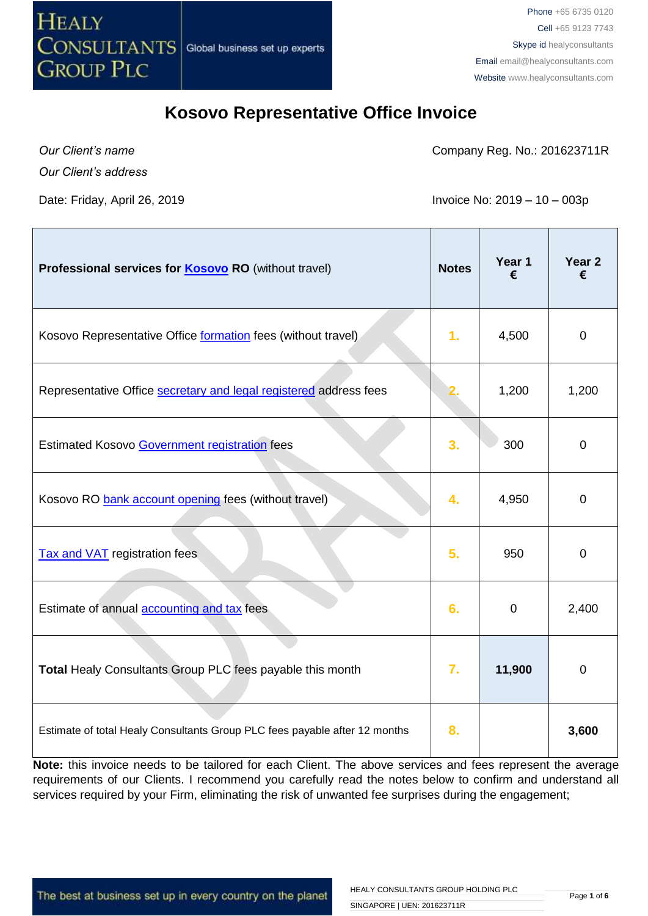

### **Kosovo Representative Office Invoice**

*Our Client's name*

Company Reg. No.: 201623711R

*Our Client's address*

Date: Friday, April 26, 2019 **Invoice No: 2019** - 10 – 003p

| Professional services for <b>Kosovo RO</b> (without travel)                | <b>Notes</b>   | Year 1<br>€ | Year <sub>2</sub><br>€ |
|----------------------------------------------------------------------------|----------------|-------------|------------------------|
| Kosovo Representative Office formation fees (without travel)               | 1 <sub>r</sub> | 4,500       | $\mathbf 0$            |
| Representative Office <b>secretary and legal registered</b> address fees   |                | 1,200       | 1,200                  |
| Estimated Kosovo Government registration fees                              | 3.             | 300         | $\mathbf 0$            |
| Kosovo RO bank account opening fees (without travel)                       | 4.             | 4,950       | $\mathbf 0$            |
| <b>Tax and VAT</b> registration fees                                       | 5.             | 950         | $\mathbf 0$            |
| Estimate of annual accounting and tax fees                                 | 6.             | $\mathbf 0$ | 2,400                  |
| Total Healy Consultants Group PLC fees payable this month                  | 7.             | 11,900      | $\mathbf 0$            |
| Estimate of total Healy Consultants Group PLC fees payable after 12 months | 8.             |             | 3,600                  |

**Note:** this invoice needs to be tailored for each Client. The above services and fees represent the average requirements of our Clients. I recommend you carefully read the notes below to confirm and understand all services required by your Firm, eliminating the risk of unwanted fee surprises during the engagement;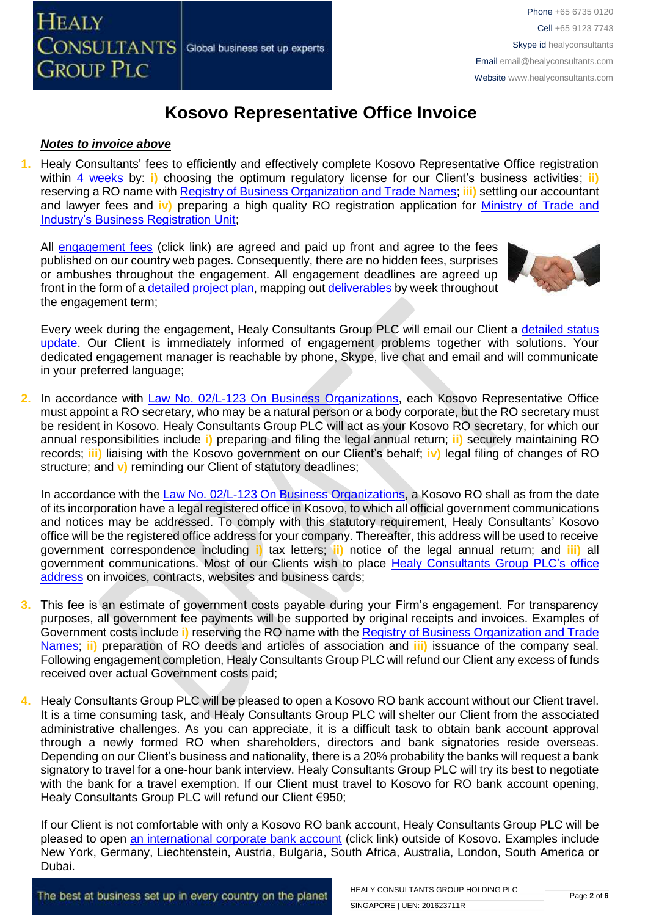# **Kosovo Representative Office Invoice**

#### *Notes to invoice above*

**1.** Healy Consultants' fees to efficiently and effectively complete Kosovo Representative Office registration within [4 weeks](http://www.healyconsultants.com/kosovo-company-registration/fees-timelines/#timelines) by: **i**) choosing the optimum regulatory license for our Client's business activities; **ii**) reserving a RO name with [Registry of Business Organization and Trade Names;](http://www.arbk.org/) **iii)** settling our accountant and lawyer fees and **iv)** preparing a high quality RO registration application for [Ministry of Trade and](http://www.arbk.org/)  [Industry's Business Registration Unit;](http://www.arbk.org/)

All [engagement fees](http://www.healyconsultants.com/company-registration-fees/) (click link) are agreed and paid up front and agree to the fees published on our country web pages. Consequently, there are no hidden fees, surprises or ambushes throughout the engagement. All engagement deadlines are agreed up front in the form of [a detailed project plan,](http://www.healyconsultants.com/index-important-links/example-project-plan/) mapping out [deliverables](http://www.healyconsultants.com/deliverables-to-our-clients/) by week throughout the engagement term;



Every week during the engagement, Healy Consultants Group PLC will email our Client a [detailed status](http://www.healyconsultants.com/index-important-links/weekly-engagement-status-email/)  [update.](http://www.healyconsultants.com/index-important-links/weekly-engagement-status-email/) Our Client is immediately informed of engagement problems together with solutions. Your dedicated engagement manager is reachable by phone, Skype, live chat and email and will communicate in your preferred language;

**2.** In accordance with [Law No. 02/L-123 On Business Organizations,](http://www.gazetazyrtare.com/e-gov/index.php?option=com_content&task=view&id=267&Itemid=28) each Kosovo Representative Office must appoint a RO secretary, who may be a natural person or a body corporate, but the RO secretary must be resident in Kosovo. Healy Consultants Group PLC will act as your Kosovo RO secretary, for which our annual responsibilities include **i)** preparing and filing the legal annual return; **ii)** securely maintaining RO records; **iii)** liaising with the Kosovo government on our Client's behalf; **iv)** legal filing of changes of RO structure; and **v)** reminding our Client of statutory deadlines;

In accordance with th[e Law No. 02/L-123 On Business Organizations,](http://www.gazetazyrtare.com/e-gov/index.php?option=com_content&task=view&id=267&Itemid=28) a Kosovo RO shall as from the date of its incorporation have a legal registered office in Kosovo, to which all official government communications and notices may be addressed. To comply with this statutory requirement, Healy Consultants' Kosovo office will be the registered office address for your company. Thereafter, this address will be used to receive government correspondence including **i)** tax letters; **ii)** notice of the legal annual return; and **iii)** all government communications. Most of our Clients wish to place [Healy Consultants](http://www.healyconsultants.com/corporate-outsourcing-services/company-secretary-and-legal-registered-office/) Group PLC's office [address](http://www.healyconsultants.com/corporate-outsourcing-services/company-secretary-and-legal-registered-office/) on invoices, contracts, websites and business cards;

- **3.** This fee is an estimate of government costs payable during your Firm's engagement. For transparency purposes, all government fee payments will be supported by original receipts and invoices. Examples of Government costs include **i)** reserving the RO name with th[e Registry of Business Organization and Trade](http://www.arbk.org/)  [Names;](http://www.arbk.org/) **ii)** preparation of RO deeds and articles of association and **iii)** issuance of the company seal. Following engagement completion, Healy Consultants Group PLC will refund our Client any excess of funds received over actual Government costs paid;
- **4.** Healy Consultants Group PLC will be pleased to open a Kosovo RO bank account without our Client travel. It is a time consuming task, and Healy Consultants Group PLC will shelter our Client from the associated administrative challenges. As you can appreciate, it is a difficult task to obtain bank account approval through a newly formed RO when shareholders, directors and bank signatories reside overseas. Depending on our Client's business and nationality, there is a 20% probability the banks will request a bank signatory to travel for a one-hour bank interview. Healy Consultants Group PLC will try its best to negotiate with the bank for a travel exemption. If our Client must travel to Kosovo for RO bank account opening, Healy Consultants Group PLC will refund our Client €950;

If our Client is not comfortable with only a Kosovo RO bank account, Healy Consultants Group PLC will be pleased to open [an international corporate bank account](http://www.healyconsultants.com/international-banking/) (click link) outside of Kosovo. Examples include New York, Germany, Liechtenstein, Austria, Bulgaria, South Africa, Australia, London, South America or Dubai.

The best at business set up in every country on the planet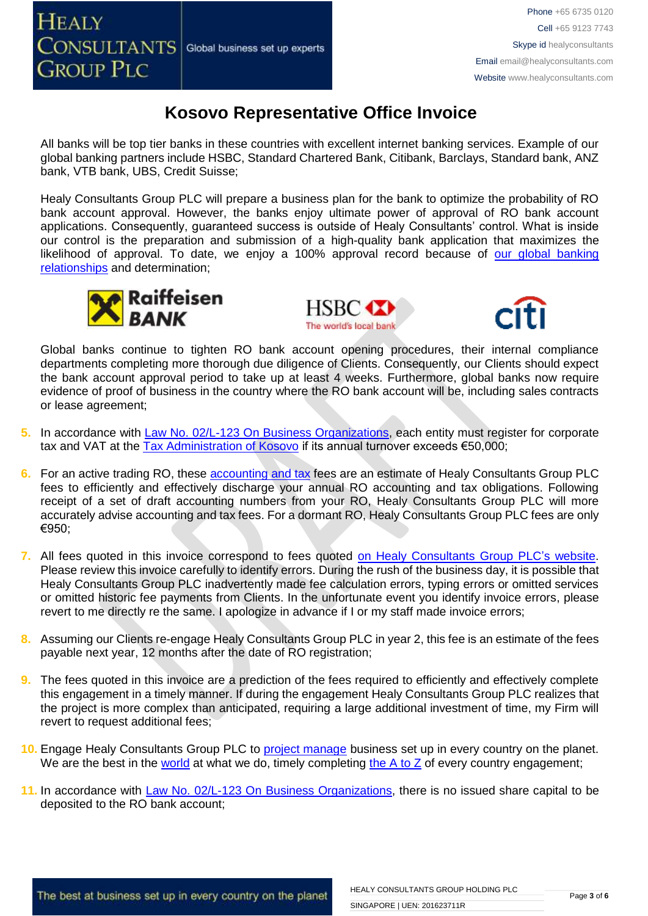**GROUP PLC** 

**HEALY** 

## **Kosovo Representative Office Invoice**

All banks will be top tier banks in these countries with excellent internet banking services. Example of our global banking partners include HSBC, Standard Chartered Bank, Citibank, Barclays, Standard bank, ANZ bank, VTB bank, UBS, Credit Suisse;

Healy Consultants Group PLC will prepare a business plan for the bank to optimize the probability of RO bank account approval. However, the banks enjoy ultimate power of approval of RO bank account applications. Consequently, guaranteed success is outside of Healy Consultants' control. What is inside our control is the preparation and submission of a high-quality bank application that maximizes the likelihood of approval. To date, we enjoy a 100% approval record because of our global banking [relationships](http://www.healyconsultants.com/international-banking/corporate-accounts/) and determination;







Global banks continue to tighten RO bank account opening procedures, their internal compliance departments completing more thorough due diligence of Clients. Consequently, our Clients should expect the bank account approval period to take up at least 4 weeks. Furthermore, global banks now require evidence of proof of business in the country where the RO bank account will be, including sales contracts or lease agreement;

- **5.** In accordance with [Law No. 02/L-123 On Business Organizations,](http://www.gazetazyrtare.com/e-gov/index.php?option=com_content&task=view&id=267&Itemid=28) each entity must register for corporate tax and VAT at the  $\overline{Tax}$  Administration of Kosovo if its annual turnover exceeds  $€50,000$ ;
- **6.** For an active trading RO, these [accounting and tax](http://www.healyconsultants.com/kosovo-company-registration/accounting-legal/) fees are an estimate of Healy Consultants Group PLC fees to efficiently and effectively discharge your annual RO accounting and tax obligations. Following receipt of a set of draft accounting numbers from your RO, Healy Consultants Group PLC will more accurately advise accounting and tax fees. For a dormant RO, Healy Consultants Group PLC fees are only €950;
- **7.** All fees quoted in this invoice correspond to fees quoted [on Healy Consultants](http://www.healyconsultants.com/company-registration-fees/) Group PLC's website. Please review this invoice carefully to identify errors. During the rush of the business day, it is possible that Healy Consultants Group PLC inadvertently made fee calculation errors, typing errors or omitted services or omitted historic fee payments from Clients. In the unfortunate event you identify invoice errors, please revert to me directly re the same. I apologize in advance if I or my staff made invoice errors;
- **8.** Assuming our Clients re-engage Healy Consultants Group PLC in year 2, this fee is an estimate of the fees payable next year, 12 months after the date of RO registration;
- **9.** The fees quoted in this invoice are a prediction of the fees required to efficiently and effectively complete this engagement in a timely manner. If during the engagement Healy Consultants Group PLC realizes that the project is more complex than anticipated, requiring a large additional investment of time, my Firm will revert to request additional fees;
- **10.** Engage Healy Consultants Group PLC to [project manage](http://www.healyconsultants.com/project-manage-engagements/) business set up in every country on the planet. We are the best in the [world](http://www.healyconsultants.com/best-in-the-world/) at what we do, timely completing [the A to Z](http://www.healyconsultants.com/a-to-z-of-business-set-up/) of every country engagement;
- 11. In accordance with [Law No. 02/L-123 On Business Organizations,](http://www.gazetazyrtare.com/e-gov/index.php?option=com_content&task=view&id=267&Itemid=28) there is no issued share capital to be deposited to the RO bank account;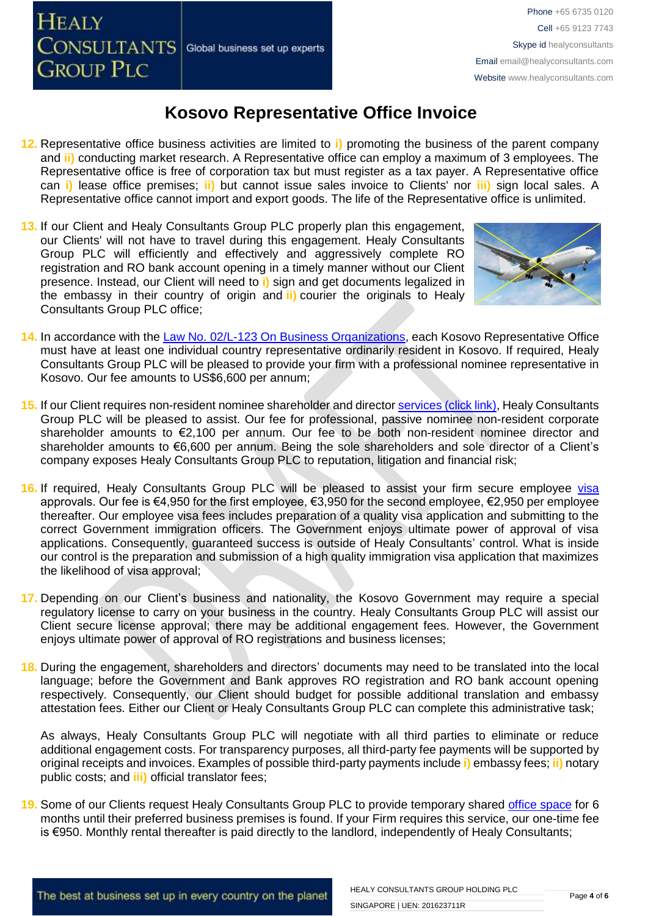**HEALY** CONSULTANTS Global business set up experts **GROUP PLC** 

## **Kosovo Representative Office Invoice**

- **12.** Representative office business activities are limited to **i)** promoting the business of the parent company and **ii)** conducting market research. A Representative office can employ a maximum of 3 employees. The Representative office is free of corporation tax but must register as a tax payer. A Representative office can **i)** lease office premises; **ii)** but cannot issue sales invoice to Clients' nor **iii)** sign local sales. A Representative office cannot import and export goods. The life of the Representative office is unlimited.
- **13.** If our Client and Healy Consultants Group PLC properly plan this engagement, our Clients' will not have to travel during this engagement. Healy Consultants Group PLC will efficiently and effectively and aggressively complete RO registration and RO bank account opening in a timely manner without our Client presence. Instead, our Client will need to **i)** sign and get documents legalized in the embassy in their country of origin and **ii)** courier the originals to Healy Consultants Group PLC office;



- 14. In accordance with the **Law No. 02/L-123 On Business Organizations**, each Kosovo Representative Office must have at least one individual country representative ordinarily resident in Kosovo. If required, Healy Consultants Group PLC will be pleased to provide your firm with a professional nominee representative in Kosovo. Our fee amounts to US\$6,600 per annum;
- **15.** If our Client requires non-resident nominee shareholder and director services [\(click link\),](http://www.healyconsultants.com/corporate-outsourcing-services/nominee-shareholders-directors/) Healy Consultants Group PLC will be pleased to assist. Our fee for professional, passive nominee non-resident corporate shareholder amounts to €2,100 per annum. Our fee to be both non-resident nominee director and shareholder amounts to €6,600 per annum. Being the sole shareholders and sole director of a Client's company exposes Healy Consultants Group PLC to reputation, litigation and financial risk;
- 16. If required, Healy Consultants Group PLC will be pleased to assist your firm secure employee [visa](http://www.healyconsultants.com/support-services/) approvals. Our fee is €4,950 for the first employee, €3,950 for the second employee, €2,950 per employee thereafter. Our employee visa fees includes preparation of a quality visa application and submitting to the correct Government immigration officers. The Government enjoys ultimate power of approval of visa applications. Consequently, guaranteed success is outside of Healy Consultants' control. What is inside our control is the preparation and submission of a high quality immigration visa application that maximizes the likelihood of visa approval;
- **17.** Depending on our Client's business and nationality, the Kosovo Government may require a special regulatory license to carry on your business in the country. Healy Consultants Group PLC will assist our Client secure license approval; there may be additional engagement fees. However, the Government enjoys ultimate power of approval of RO registrations and business licenses;
- **18.** During the engagement, shareholders and directors' documents may need to be translated into the local language; before the Government and Bank approves RO registration and RO bank account opening respectively. Consequently, our Client should budget for possible additional translation and embassy attestation fees. Either our Client or Healy Consultants Group PLC can complete this administrative task;

As always, Healy Consultants Group PLC will negotiate with all third parties to eliminate or reduce additional engagement costs. For transparency purposes, all third-party fee payments will be supported by original receipts and invoices. Examples of possible third-party payments include **i)** embassy fees; **ii)** notary public costs; and **iii)** official translator fees;

**19.** Some of our Clients request Healy Consultants Group PLC to provide temporary shared [office space](http://www.healyconsultants.com/virtual-office/) for 6 months until their preferred business premises is found. If your Firm requires this service, our one-time fee is €950. Monthly rental thereafter is paid directly to the landlord, independently of Healy Consultants;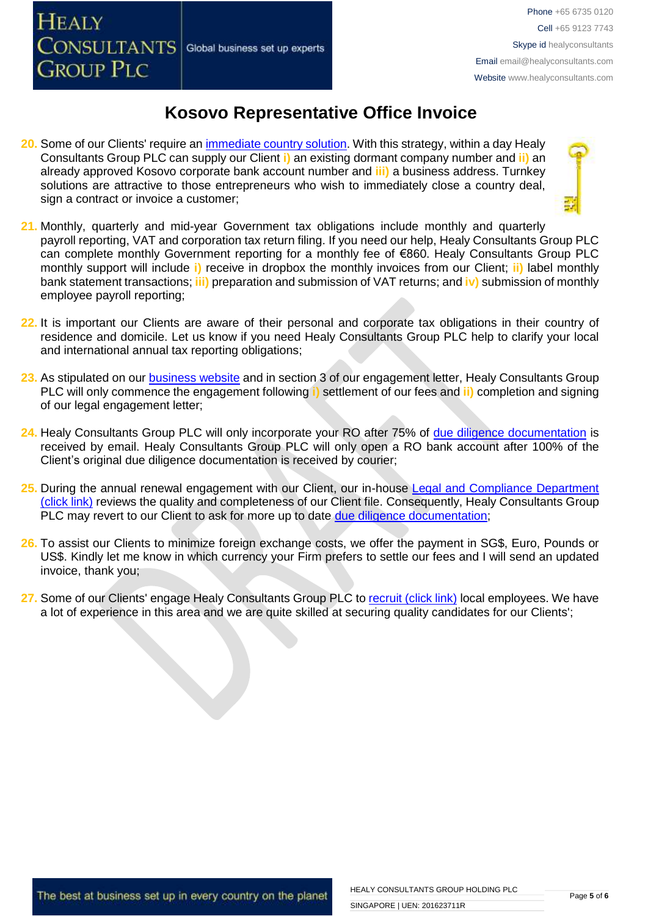CONSULTANTS Global business set up experts

**GROUP PLC** 

**HEALY** 

## **Kosovo Representative Office Invoice**

- **20.** Some of our Clients' require an *immediate country solution*. With this strategy, within a day Healy Consultants Group PLC can supply our Client **i)** an existing dormant company number and **ii)** an already approved Kosovo corporate bank account number and **iii)** a business address. Turnkey solutions are attractive to those entrepreneurs who wish to immediately close a country deal, sign a contract or invoice a customer:
- **21.** Monthly, quarterly and mid-year Government tax obligations include monthly and quarterly payroll reporting, VAT and corporation tax return filing. If you need our help, Healy Consultants Group PLC can complete monthly Government reporting for a monthly fee of €860. Healy Consultants Group PLC monthly support will include **i)** receive in dropbox the monthly invoices from our Client; **ii)** label monthly bank statement transactions; **iii)** preparation and submission of VAT returns; and **iv)** submission of monthly employee payroll reporting;
- **22.** It is important our Clients are aware of their personal and corporate tax obligations in their country of residence and domicile. Let us know if you need Healy Consultants Group PLC help to clarify your local and international annual tax reporting obligations;
- **23.** As stipulated on our [business website](http://www.healyconsultants.com/) and in section 3 of our engagement letter, Healy Consultants Group PLC will only commence the engagement following **i)** settlement of our fees and **ii)** completion and signing of our legal engagement letter;
- **24.** Healy Consultants Group PLC will only incorporate your RO after 75% of [due diligence documentation](http://www.healyconsultants.com/due-diligence/) is received by email. Healy Consultants Group PLC will only open a RO bank account after 100% of the Client's original due diligence documentation is received by courier;
- 25. During the annual renewal engagement with our Client, our in-house Legal and Compliance Department [\(click link\)](http://www.healyconsultants.com/about-us/key-personnel/cai-xin-profile/) reviews the quality and completeness of our Client file. Consequently, Healy Consultants Group PLC may revert to our Client to ask for more up to date [due diligence documentation;](http://www.healyconsultants.com/due-diligence/)
- **26.** To assist our Clients to minimize foreign exchange costs, we offer the payment in SG\$, Euro, Pounds or US\$. Kindly let me know in which currency your Firm prefers to settle our fees and I will send an updated invoice, thank you;
- **27.** Some of our Clients' engage Healy Consultants Group PLC t[o recruit \(click link\)](http://www.healyconsultants.com/corporate-outsourcing-services/how-we-help-our-clients-recruit-quality-employees/) local employees. We have a lot of experience in this area and we are quite skilled at securing quality candidates for our Clients';

The best at business set up in every country on the planet